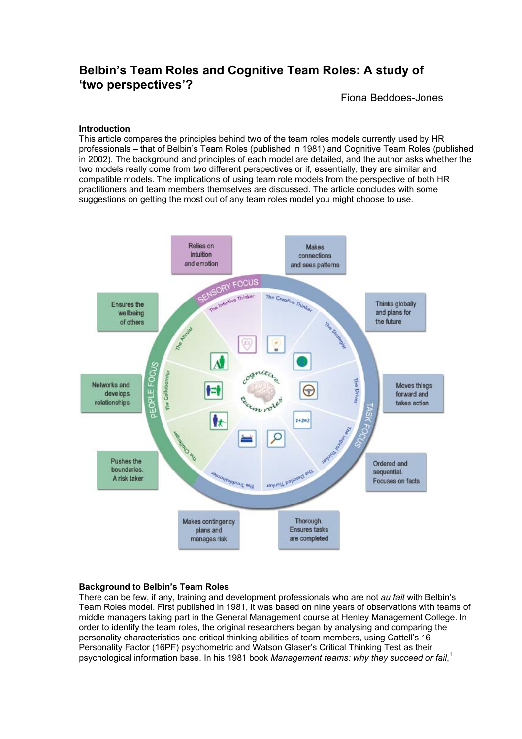# **Belbin's Team Roles and Cognitive Team Roles: A study of 'two perspectives'?**

Fiona Beddoes-Jones

## **Introduction**

This article compares the principles behind two of the team roles models currently used by HR professionals – that of Belbin's Team Roles (published in 1981) and Cognitive Team Roles (published in 2002). The background and principles of each model are detailed, and the author asks whether the two models really come from two different perspectives or if, essentially, they are similar and compatible models. The implications of using team role models from the perspective of both HR practitioners and team members themselves are discussed. The article concludes with some suggestions on getting the most out of any team roles model you might choose to use.



# **Background to Belbin's Team Roles**

There can be few, if any, training and development professionals who are not *au fait* with Belbin's Team Roles model. First published in 1981, it was based on nine years of observations with teams of middle managers taking part in the General Management course at Henley Management College. In order to identify the team roles, the original researchers began by analysing and comparing the personality characteristics and critical thinking abilities of team members, using Cattell's 16 Personality Factor (16PF) psychometric and Watson Glaser's Critical Thinking Test as their psychological information base. In his 1981 book *Management teams: why they succeed or fail*, 1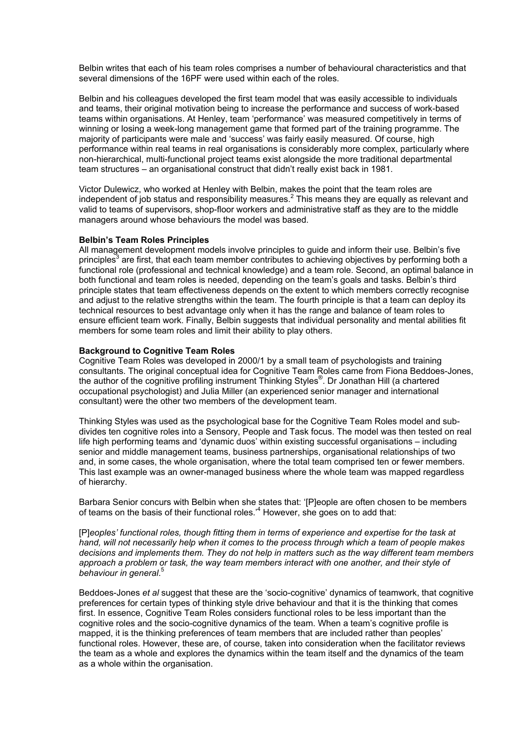Belbin writes that each of his team roles comprises a number of behavioural characteristics and that several dimensions of the 16PF were used within each of the roles.

Belbin and his colleagues developed the first team model that was easily accessible to individuals and teams, their original motivation being to increase the performance and success of work-based teams within organisations. At Henley, team 'performance' was measured competitively in terms of winning or losing a week-long management game that formed part of the training programme. The majority of participants were male and 'success' was fairly easily measured. Of course, high performance within real teams in real organisations is considerably more complex, particularly where non-hierarchical, multi-functional project teams exist alongside the more traditional departmental team structures – an organisational construct that didn't really exist back in 1981.

Victor Dulewicz, who worked at Henley with Belbin, makes the point that the team roles are independent of job status and responsibility measures.<sup>2</sup> This means they are equally as relevant and valid to teams of supervisors, shop-floor workers and administrative staff as they are to the middle managers around whose behaviours the model was based.

## **Belbin's Team Roles Principles**

All management development models involve principles to guide and inform their use. Belbin's five principles<sup>3</sup> are first, that each team member contributes to achieving objectives by performing both a functional role (professional and technical knowledge) and a team role. Second, an optimal balance in both functional and team roles is needed, depending on the team's goals and tasks. Belbin's third principle states that team effectiveness depends on the extent to which members correctly recognise and adjust to the relative strengths within the team. The fourth principle is that a team can deploy its technical resources to best advantage only when it has the range and balance of team roles to ensure efficient team work. Finally, Belbin suggests that individual personality and mental abilities fit members for some team roles and limit their ability to play others.

## **Background to Cognitive Team Roles**

Cognitive Team Roles was developed in 2000/1 by a small team of psychologists and training consultants. The original conceptual idea for Cognitive Team Roles came from Fiona Beddoes-Jones, the author of the cognitive profiling instrument Thinking Styles<sup>®</sup>. Dr Jonathan Hill (a chartered occupational psychologist) and Julia Miller (an experienced senior manager and international consultant) were the other two members of the development team.

Thinking Styles was used as the psychological base for the Cognitive Team Roles model and subdivides ten cognitive roles into a Sensory, People and Task focus. The model was then tested on real life high performing teams and 'dynamic duos' within existing successful organisations – including senior and middle management teams, business partnerships, organisational relationships of two and, in some cases, the whole organisation, where the total team comprised ten or fewer members. This last example was an owner-managed business where the whole team was mapped regardless of hierarchy.

Barbara Senior concurs with Belbin when she states that: '[P]eople are often chosen to be members of teams on the basis of their functional roles.<sup>4</sup> However, she goes on to add that:

[P]*eoples' functional roles, though fitting them in terms of experience and expertise for the task at hand, will not necessarily help when it comes to the process through which a team of people makes decisions and implements them. They do not help in matters such as the way different team members approach a problem or task, the way team members interact with one another, and their style of behaviour in general*. 5

Beddoes-Jones *et al* suggest that these are the 'socio-cognitive' dynamics of teamwork, that cognitive preferences for certain types of thinking style drive behaviour and that it is the thinking that comes first. In essence, Cognitive Team Roles considers functional roles to be less important than the cognitive roles and the socio-cognitive dynamics of the team. When a team's cognitive profile is mapped, it is the thinking preferences of team members that are included rather than peoples' functional roles. However, these are, of course, taken into consideration when the facilitator reviews the team as a whole and explores the dynamics within the team itself and the dynamics of the team as a whole within the organisation.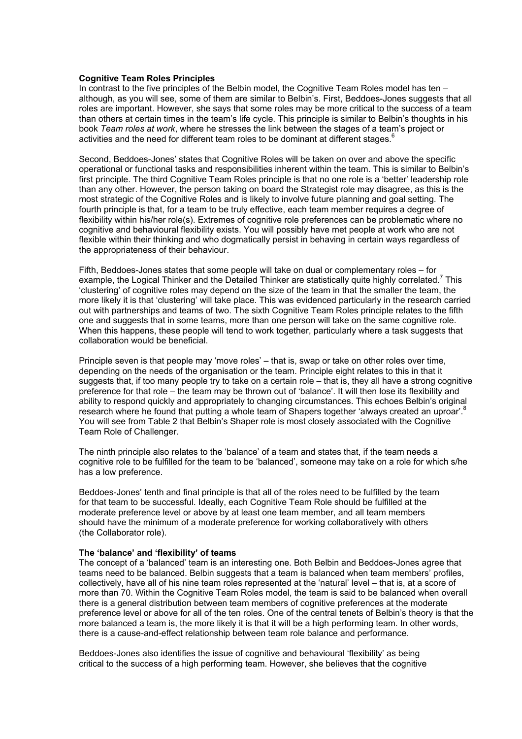#### **Cognitive Team Roles Principles**

In contrast to the five principles of the Belbin model, the Cognitive Team Roles model has ten – although, as you will see, some of them are similar to Belbin's. First, Beddoes-Jones suggests that all roles are important. However, she says that some roles may be more critical to the success of a team than others at certain times in the team's life cycle. This principle is similar to Belbin's thoughts in his book *Team roles at work*, where he stresses the link between the stages of a team's project or activities and the need for different team roles to be dominant at different stages.<sup>6</sup>

Second, Beddoes-Jones' states that Cognitive Roles will be taken on over and above the specific operational or functional tasks and responsibilities inherent within the team. This is similar to Belbin's first principle. The third Cognitive Team Roles principle is that no one role is a 'better' leadership role than any other. However, the person taking on board the Strategist role may disagree, as this is the most strategic of the Cognitive Roles and is likely to involve future planning and goal setting. The fourth principle is that, for a team to be truly effective, each team member requires a degree of flexibility within his/her role(s). Extremes of cognitive role preferences can be problematic where no cognitive and behavioural flexibility exists. You will possibly have met people at work who are not flexible within their thinking and who dogmatically persist in behaving in certain ways regardless of the appropriateness of their behaviour.

Fifth, Beddoes-Jones states that some people will take on dual or complementary roles – for example, the Logical Thinker and the Detailed Thinker are statistically quite highly correlated.<sup>7</sup> This 'clustering' of cognitive roles may depend on the size of the team in that the smaller the team, the more likely it is that 'clustering' will take place. This was evidenced particularly in the research carried out with partnerships and teams of two. The sixth Cognitive Team Roles principle relates to the fifth one and suggests that in some teams, more than one person will take on the same cognitive role. When this happens, these people will tend to work together, particularly where a task suggests that collaboration would be beneficial.

Principle seven is that people may 'move roles' – that is, swap or take on other roles over time, depending on the needs of the organisation or the team. Principle eight relates to this in that it suggests that, if too many people try to take on a certain role – that is, they all have a strong cognitive preference for that role – the team may be thrown out of 'balance'. It will then lose its flexibility and ability to respond quickly and appropriately to changing circumstances. This echoes Belbin's original research where he found that putting a whole team of Shapers together 'always created an uproar'.<sup>8</sup> You will see from Table 2 that Belbin's Shaper role is most closely associated with the Cognitive Team Role of Challenger.

The ninth principle also relates to the 'balance' of a team and states that, if the team needs a cognitive role to be fulfilled for the team to be 'balanced', someone may take on a role for which s/he has a low preference.

Beddoes-Jones' tenth and final principle is that all of the roles need to be fulfilled by the team for that team to be successful. Ideally, each Cognitive Team Role should be fulfilled at the moderate preference level or above by at least one team member, and all team members should have the minimum of a moderate preference for working collaboratively with others (the Collaborator role).

## **The 'balance' and 'flexibility' of teams**

The concept of a 'balanced' team is an interesting one. Both Belbin and Beddoes-Jones agree that teams need to be balanced. Belbin suggests that a team is balanced when team members' profiles, collectively, have all of his nine team roles represented at the 'natural' level – that is, at a score of more than 70. Within the Cognitive Team Roles model, the team is said to be balanced when overall there is a general distribution between team members of cognitive preferences at the moderate preference level or above for all of the ten roles. One of the central tenets of Belbin's theory is that the more balanced a team is, the more likely it is that it will be a high performing team. In other words, there is a cause-and-effect relationship between team role balance and performance.

Beddoes-Jones also identifies the issue of cognitive and behavioural 'flexibility' as being critical to the success of a high performing team. However, she believes that the cognitive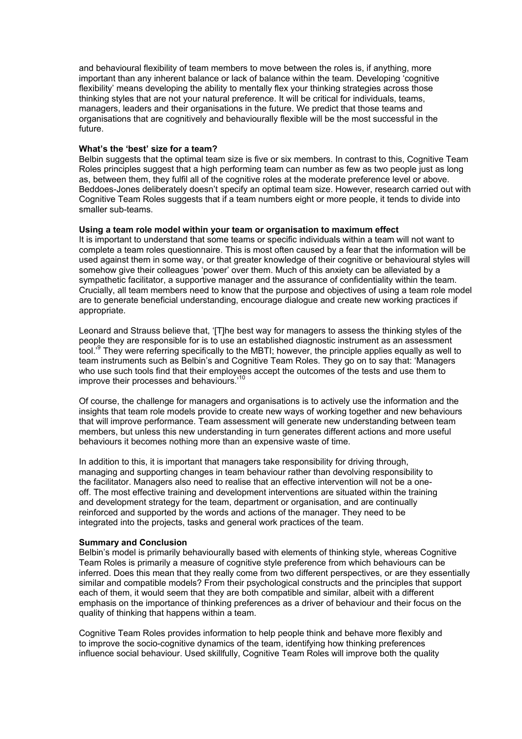and behavioural flexibility of team members to move between the roles is, if anything, more important than any inherent balance or lack of balance within the team. Developing 'cognitive flexibility' means developing the ability to mentally flex your thinking strategies across those thinking styles that are not your natural preference. It will be critical for individuals, teams, managers, leaders and their organisations in the future. We predict that those teams and organisations that are cognitively and behaviourally flexible will be the most successful in the future.

## **What's the 'best' size for a team?**

Belbin suggests that the optimal team size is five or six members. In contrast to this, Cognitive Team Roles principles suggest that a high performing team can number as few as two people just as long as, between them, they fulfil all of the cognitive roles at the moderate preference level or above. Beddoes-Jones deliberately doesn't specify an optimal team size. However, research carried out with Cognitive Team Roles suggests that if a team numbers eight or more people, it tends to divide into smaller sub-teams.

## **Using a team role model within your team or organisation to maximum effect**

It is important to understand that some teams or specific individuals within a team will not want to complete a team roles questionnaire. This is most often caused by a fear that the information will be used against them in some way, or that greater knowledge of their cognitive or behavioural styles will somehow give their colleagues 'power' over them. Much of this anxiety can be alleviated by a sympathetic facilitator, a supportive manager and the assurance of confidentiality within the team. Crucially, all team members need to know that the purpose and objectives of using a team role model are to generate beneficial understanding, encourage dialogue and create new working practices if appropriate.

Leonard and Strauss believe that, '[T]he best way for managers to assess the thinking styles of the people they are responsible for is to use an established diagnostic instrument as an assessment tool.<sup>'9</sup> They were referring specifically to the MBTI; however, the principle applies equally as well to team instruments such as Belbin's and Cognitive Team Roles. They go on to say that: 'Managers who use such tools find that their employees accept the outcomes of the tests and use them to improve their processes and behaviours.'10

Of course, the challenge for managers and organisations is to actively use the information and the insights that team role models provide to create new ways of working together and new behaviours that will improve performance. Team assessment will generate new understanding between team members, but unless this new understanding in turn generates different actions and more useful behaviours it becomes nothing more than an expensive waste of time.

In addition to this, it is important that managers take responsibility for driving through, managing and supporting changes in team behaviour rather than devolving responsibility to the facilitator. Managers also need to realise that an effective intervention will not be a oneoff. The most effective training and development interventions are situated within the training and development strategy for the team, department or organisation, and are continually reinforced and supported by the words and actions of the manager. They need to be integrated into the projects, tasks and general work practices of the team.

## **Summary and Conclusion**

Belbin's model is primarily behaviourally based with elements of thinking style, whereas Cognitive Team Roles is primarily a measure of cognitive style preference from which behaviours can be inferred. Does this mean that they really come from two different perspectives, or are they essentially similar and compatible models? From their psychological constructs and the principles that support each of them, it would seem that they are both compatible and similar, albeit with a different emphasis on the importance of thinking preferences as a driver of behaviour and their focus on the quality of thinking that happens within a team.

Cognitive Team Roles provides information to help people think and behave more flexibly and to improve the socio-cognitive dynamics of the team, identifying how thinking preferences influence social behaviour. Used skillfully, Cognitive Team Roles will improve both the quality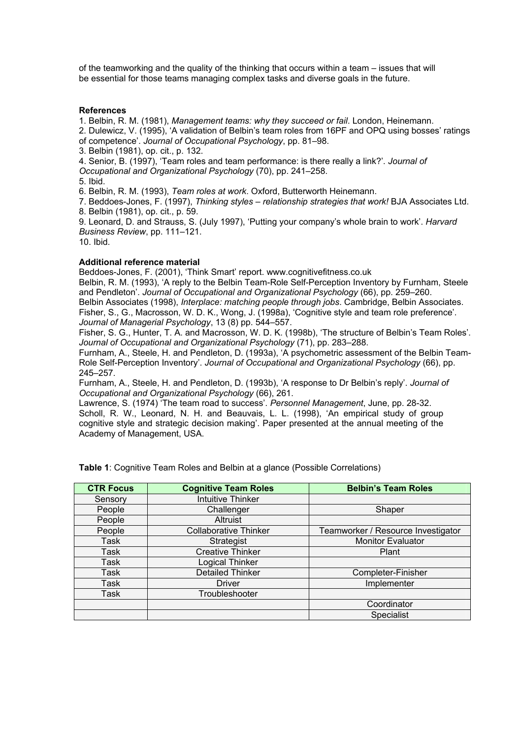of the teamworking and the quality of the thinking that occurs within a team – issues that will be essential for those teams managing complex tasks and diverse goals in the future.

## **References**

1. Belbin, R. M. (1981), *Management teams: why they succeed or fail*. London, Heinemann.

2. Dulewicz, V. (1995), 'A validation of Belbin's team roles from 16PF and OPQ using bosses' ratings of competence'. *Journal of Occupational Psychology*, pp. 81–98.

3. Belbin (1981), op. cit., p. 132.

4. Senior, B. (1997), 'Team roles and team performance: is there really a link?'. *Journal of Occupational and Organizational Psychology* (70), pp. 241–258.

5. Ibid.

6. Belbin, R. M. (1993), *Team roles at work*. Oxford, Butterworth Heinemann.

7. Beddoes-Jones, F. (1997), *Thinking styles – relationship strategies that work!* BJA Associates Ltd. 8. Belbin (1981), op. cit., p. 59.

9. Leonard, D. and Strauss, S. (July 1997), 'Putting your company's whole brain to work'. *Harvard Business Review*, pp. 111–121.

10. Ibid.

#### **Additional reference material**

Beddoes-Jones, F. (2001), 'Think Smart' report. www.cognitivefitness.co.uk

Belbin, R. M. (1993), 'A reply to the Belbin Team-Role Self-Perception Inventory by Furnham, Steele and Pendleton'. *Journal of Occupational and Organizational Psychology* (66), pp. 259–260.

Belbin Associates (1998), *Interplace: matching people through jobs*. Cambridge, Belbin Associates. Fisher, S., G., Macrosson, W. D. K., Wong, J. (1998a), 'Cognitive style and team role preference'. *Journal of Managerial Psychology*, 13 (8) pp. 544–557.

Fisher, S. G., Hunter, T. A. and Macrosson, W. D. K. (1998b), 'The structure of Belbin's Team Roles'. *Journal of Occupational and Organizational Psychology* (71), pp. 283–288.

Furnham, A., Steele, H. and Pendleton, D. (1993a), 'A psychometric assessment of the Belbin Team-Role Self-Perception Inventory'. *Journal of Occupational and Organizational Psychology* (66), pp. 245–257.

Furnham, A., Steele, H. and Pendleton, D. (1993b), 'A response to Dr Belbin's reply'. *Journal of Occupational and Organizational Psychology* (66), 261.

Lawrence, S. (1974) 'The team road to success'. *Personnel Management*, June, pp. 28-32. Scholl, R. W., Leonard, N. H. and Beauvais, L. L. (1998), 'An empirical study of group cognitive style and strategic decision making'. Paper presented at the annual meeting of the Academy of Management, USA.

| <b>CTR Focus</b> | <b>Cognitive Team Roles</b>  | <b>Belbin's Team Roles</b>         |  |
|------------------|------------------------------|------------------------------------|--|
| Sensory          | <b>Intuitive Thinker</b>     |                                    |  |
| People           | Challenger                   | Shaper                             |  |
| People           | Altruist                     |                                    |  |
| People           | <b>Collaborative Thinker</b> | Teamworker / Resource Investigator |  |
| Task             | Strategist                   | <b>Monitor Evaluator</b>           |  |
| Task             | <b>Creative Thinker</b>      | Plant                              |  |
| Task             | Logical Thinker              |                                    |  |
| Task             | Detailed Thinker             | Completer-Finisher                 |  |
| Task             | <b>Driver</b>                | Implementer                        |  |
| Task             | Troubleshooter               |                                    |  |
|                  |                              | Coordinator                        |  |
|                  |                              | Specialist                         |  |

**Table 1**: Cognitive Team Roles and Belbin at a glance (Possible Correlations)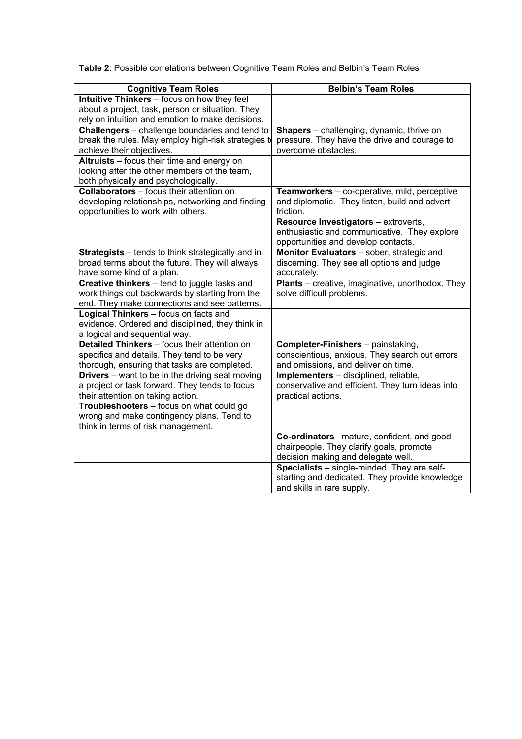| Table 2: Possible correlations between Cognitive Team Roles and Belbin's Team Roles |  |  |
|-------------------------------------------------------------------------------------|--|--|
|                                                                                     |  |  |

| <b>Cognitive Team Roles</b>                            | <b>Belbin's Team Roles</b>                              |
|--------------------------------------------------------|---------------------------------------------------------|
| Intuitive Thinkers - focus on how they feel            |                                                         |
| about a project, task, person or situation. They       |                                                         |
| rely on intuition and emotion to make decisions.       |                                                         |
| Challengers - challenge boundaries and tend to         | <b>Shapers</b> – challenging, dynamic, thrive on        |
| break the rules. May employ high-risk strategies to    | pressure. They have the drive and courage to            |
| achieve their objectives.                              | overcome obstacles.                                     |
| Altruists - focus their time and energy on             |                                                         |
| looking after the other members of the team,           |                                                         |
| both physically and psychologically.                   |                                                         |
| <b>Collaborators</b> – focus their attention on        | Teamworkers - co-operative, mild, perceptive            |
| developing relationships, networking and finding       | and diplomatic. They listen, build and advert           |
| opportunities to work with others.                     | friction.                                               |
|                                                        | Resource Investigators - extroverts,                    |
|                                                        | enthusiastic and communicative. They explore            |
|                                                        | opportunities and develop contacts.                     |
| Strategists - tends to think strategically and in      | Monitor Evaluators - sober, strategic and               |
| broad terms about the future. They will always         | discerning. They see all options and judge              |
| have some kind of a plan.                              | accurately.                                             |
| Creative thinkers - tend to juggle tasks and           | <b>Plants</b> – creative, imaginative, unorthodox. They |
| work things out backwards by starting from the         | solve difficult problems.                               |
| end. They make connections and see patterns.           |                                                         |
| Logical Thinkers - focus on facts and                  |                                                         |
| evidence. Ordered and disciplined, they think in       |                                                         |
| a logical and sequential way.                          |                                                         |
| Detailed Thinkers - focus their attention on           | Completer-Finishers - painstaking,                      |
| specifics and details. They tend to be very            | conscientious, anxious. They search out errors          |
| thorough, ensuring that tasks are completed.           | and omissions, and deliver on time.                     |
| <b>Drivers</b> – want to be in the driving seat moving | Implementers - disciplined, reliable,                   |
| a project or task forward. They tends to focus         | conservative and efficient. They turn ideas into        |
| their attention on taking action.                      | practical actions.                                      |
| Troubleshooters - focus on what could go               |                                                         |
| wrong and make contingency plans. Tend to              |                                                         |
| think in terms of risk management.                     |                                                         |
|                                                        | Co-ordinators -mature, confident, and good              |
|                                                        | chairpeople. They clarify goals, promote                |
|                                                        | decision making and delegate well.                      |
|                                                        | Specialists - single-minded. They are self-             |
|                                                        | starting and dedicated. They provide knowledge          |
|                                                        | and skills in rare supply.                              |